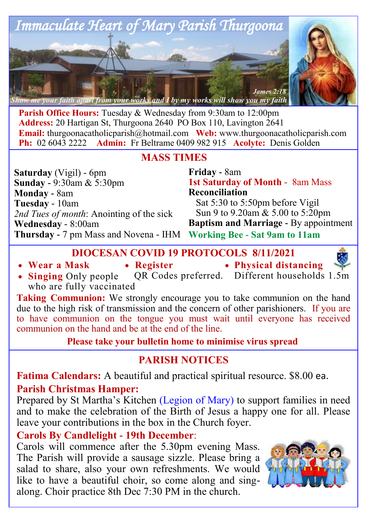

**Parish Office Hours:** Tuesday & Wednesday from 9:30am to 12:00pm **Address:** 20 Hartigan St, Thurgoona 2640 PO Box 110, Lavington 2641 **Email:** thurgoonacatholicparish@hotmail.com **Web:** www.thurgoonacatholicparish.com **Ph:** 02 6043 2222 **Admin:** Fr Beltrame 0409 982 915 **Acolyte:** Denis Golden

### **MASS TIMES**

**Saturday** (Vigil) - 6pm **Sunday -** 9:30am & 5:30pm **Monday -** 8am **Tuesday** - 10am *2nd Tues of month*: Anointing of the sick **Wednesday** - 8:00am **Thursday -** 7 pm Mass and Novena - IHM

**Friday -** 8am **1st Saturday of Month** - 8am Mass **Reconciliation**  Sat 5:30 to 5:50pm before Vigil Sun 9 to 9.20am & 5.00 to 5:20pm **Baptism and Marriage -** By appointment **Working Bee - Sat 9am to 11am**

#### **DIOCESAN COVID 19 PROTOCOLS 8/11/2021**

- **Wear a Mask**
- **Register**
- **Physical distancing**



**Taking Communion:** We strongly encourage you to take communion on the hand due to the high risk of transmission and the concern of other parishioners. If you are to have communion on the tongue you must wait until everyone has received communion on the hand and be at the end of the line.

**Please take your bulletin home to minimise virus spread** 

# **PARISH NOTICES**

**Fatima Calendars:** A beautiful and practical spiritual resource. \$8.00 ea.

# **Parish Christmas Hamper:**

Prepared by St Martha's Kitchen (Legion of Mary) to support families in need and to make the celebration of the Birth of Jesus a happy one for all. Please leave your contributions in the box in the Church foyer.

# **Carols By Candlelight - 19th December**:

Carols will commence after the 5.30pm evening Mass. The Parish will provide a sausage sizzle. Please bring a salad to share, also your own refreshments. We would like to have a beautiful choir, so come along and singalong. Choir practice 8th Dec 7:30 PM in the church.

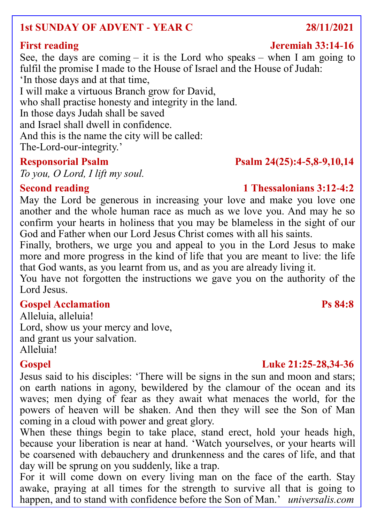### **1st SUNDAY OF ADVENT - YEAR C 28/11/2021**

See, the days are coming – it is the Lord who speaks – when I am going to fulfil the promise I made to the House of Israel and the House of Judah: 'In those days and at that time, I will make a virtuous Branch grow for David, who shall practise honesty and integrity in the land. In those days Judah shall be saved and Israel shall dwell in confidence. And this is the name the city will be called: The-Lord-our-integrity.'

*To you, O Lord, I lift my soul.*

### **Second reading 1 Thessalonians 3:12-4:2**

May the Lord be generous in increasing your love and make you love one another and the whole human race as much as we love you. And may he so confirm your hearts in holiness that you may be blameless in the sight of our God and Father when our Lord Jesus Christ comes with all his saints.

Finally, brothers, we urge you and appeal to you in the Lord Jesus to make more and more progress in the kind of life that you are meant to live: the life that God wants, as you learnt from us, and as you are already living it.

You have not forgotten the instructions we gave you on the authority of the Lord Jesus.

### **Gospel Acclamation Ps 84:8**

Alleluia, alleluia! Lord, show us your mercy and love, and grant us your salvation. Alleluia!

# **Gospel Luke 21:25-28,34-36**

Jesus said to his disciples: 'There will be signs in the sun and moon and stars; on earth nations in agony, bewildered by the clamour of the ocean and its waves; men dying of fear as they await what menaces the world, for the powers of heaven will be shaken. And then they will see the Son of Man coming in a cloud with power and great glory.

When these things begin to take place, stand erect, hold your heads high, because your liberation is near at hand. 'Watch yourselves, or your hearts will be coarsened with debauchery and drunkenness and the cares of life, and that day will be sprung on you suddenly, like a trap.

For it will come down on every living man on the face of the earth. Stay awake, praying at all times for the strength to survive all that is going to happen, and to stand with confidence before the Son of Man.' *universalis.com*

### **Responsorial Psalm Psalm 24(25):4-5,8-9,10,14**

# **First reading Jeremiah 33:14-16**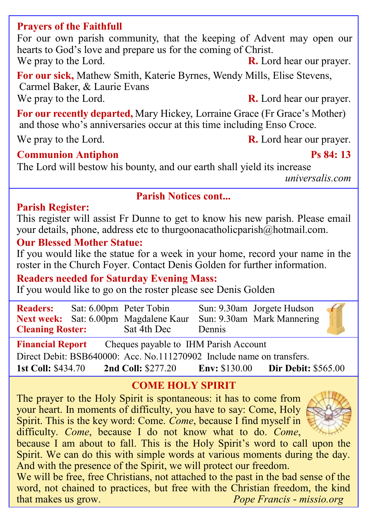### **Prayers of the Faithfull**

For our own parish community, that the keeping of Advent may open our hearts to God's love and prepare us for the coming of Christ.<br>We pray to the Lord.  $\bf{R}$ . Lord. **R.** Lord hear our prayer.

**For our sick,** Mathew Smith, Katerie Byrnes, Wendy Mills, Elise Stevens, Carmel Baker, & Laurie Evans We pray to the Lord. **R.** Lord hear our prayer.

**For our recently departed,** Mary Hickey, Lorraine Grace (Fr Grace's Mother) and those who's anniversaries occur at this time including Enso Croce.

We pray to the Lord. **R.** Lord hear our prayer.

#### **Communion Antiphon Ps 84: 13**

The Lord will bestow his bounty, and our earth shall yield its increase

*universalis.com*

#### **Parish Notices cont...**

# **Parish Register:**

This register will assist Fr Dunne to get to know his new parish. Please email your details, phone, address etc to thurgoonacatholicparish@hotmail.com.

## **Our Blessed Mother Statue:**

If you would like the statue for a week in your home, record your name in the roster in the Church Foyer. Contact Denis Golden for further information.

**Readers needed for Saturday Evening Mass:** If you would like to go on the roster please see Denis Golden

| <b>Readers:</b>         | Sat: 6.00pm Peter Tobin | <b>Next week:</b> Sat: 6.00pm Magdalene Kaur |        | Sun: 9.30am Jorgete Hudson<br>Sun: 9.30am Mark Mannering | f |
|-------------------------|-------------------------|----------------------------------------------|--------|----------------------------------------------------------|---|
| <b>Cleaning Roster:</b> |                         | Sat 4th Dec                                  | Dennis |                                                          |   |

**Financial Report** Cheques payable to IHM Parish Account Direct Debit: BSB640000: Acc. No.111270902 Include name on transfers. **1st Coll:** \$434.70 **2nd Coll:** \$277.20 **Env:** \$130.00 **Dir Debit:** \$565.00

# **COME HOLY SPIRIT**

The prayer to the Holy Spirit is spontaneous: it has to come from your heart. In moments of difficulty, you have to say: Come, Holy Spirit. This is the key word: Come. *Come*, because I find myself in difficulty. *Come*, because I do not know what to do. *Come*,



because I am about to fall. This is the Holy Spirit's word to call upon the Spirit. We can do this with simple words at various moments during the day. And with the presence of the Spirit, we will protect our freedom.

We will be free, free Christians, not attached to the past in the bad sense of the word, not chained to practices, but free with the Christian freedom, the kind that makes us grow. *Pope Francis - missio.org*